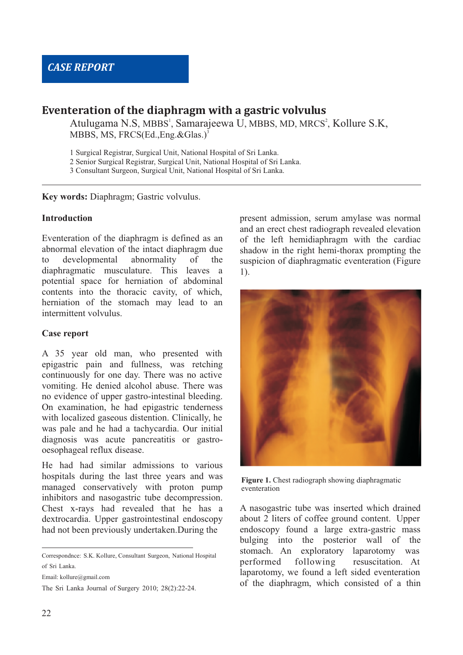# **Eventeration of the diaphragm with a gastric volvulus**

Atulugama N.S, MBBS<sup>1</sup>, Samarajeewa U, MBBS, MD, MRCS<sup>2</sup>, Kollure S.K, MBBS, MS, FRCS(Ed.,Eng.&Glas.) 3

1 Surgical Registrar, Surgical Unit, National Hospital of Sri Lanka.

2 Senior Surgical Registrar, Surgical Unit, National Hospital of Sri Lanka.

3 Consultant Surgeon, Surgical Unit, National Hospital of Sri Lanka.

**Key words:** Diaphragm; Gastric volvulus.

## **Introduction<sup>5</sup>**

Eventeration of the diaphragm is defined as an abnormal elevation of the intact diaphragm due to developmental abnormality of the diaphragmatic musculature. This leaves a potential space for herniation of abdominal contents into the thoracic cavity, of which, herniation of the stomach may lead to an intermittent volvulus.

#### **Case report**

A 35 year old man, who presented with epigastric pain and fullness, was retching continuously for one day. There was no active vomiting. He denied alcohol abuse. There was no evidence of upper gastro-intestinal bleeding. On examination, he had epigastric tenderness with localized gaseous distention. Clinically, he was pale and he had a tachycardia. Our initial diagnosis was acute pancreatitis or gastrooesophageal reflux disease.

He had had similar admissions to various hospitals during the last three years and was managed conservatively with proton pump inhibitors and nasogastric tube decompression. Chest x-rays had revealed that he has a dextrocardia. Upper gastrointestinal endoscopy had not been previously undertaken.During the

Correspondnce: S.K. Kollure, Consultant Surgeon, National Hospital of Sri Lanka.

Email: kollure@gmail.com

The Sri Lanka Journal of Surgery 2010; 28(2):22-24.

present admission, serum amylase was normal and an erect chest radiograph revealed elevation of the left hemidiaphragm with the cardiac shadow in the right hemi-thorax prompting the suspicion of diaphragmatic eventeration (Figure 1).



**Figure 1.** Chest radiograph showing diaphragmatic eventeration.

A nasogastric tube was inserted which drained about 2 liters of coffee ground content. Upper endoscopy found a large extra-gastric mass bulging into the posterior wall of the stomach. An exploratory laparotomy was performed following resuscitation. At laparotomy, we found a left sided eventeration of the diaphragm, which consisted of a thin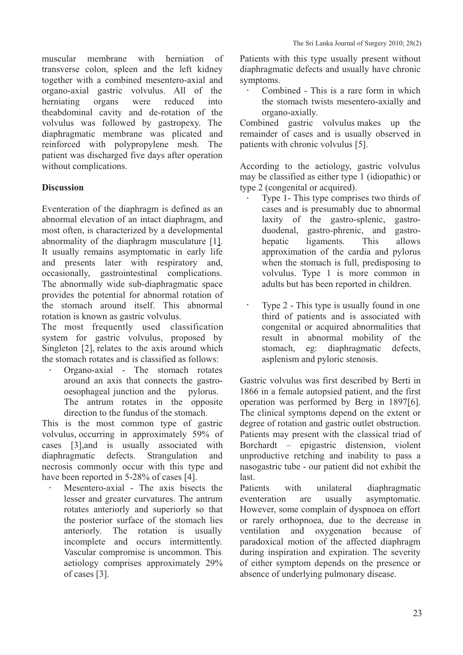muscular membrane with herniation of transverse colon, spleen and the left kidney together with a combined mesentero-axial and organo-axial gastric volvulus. All of the herniating organs were reduced into theabdominal cavity and de-rotation of the volvulus was followed by gastropexy. The diaphragmatic membrane was plicated and reinforced with polypropylene mesh. The patient was discharged five days after operation without complications.

## **Discussion**

Eventeration of the diaphragm is defined as an abnormal elevation of an intact diaphragm, and most often, is characterized by a developmental abnormality of the diaphragm musculature [1]. It usually remains asymptomatic in early life and presents later with respiratory and, occasionally, gastrointestinal complications. The abnormally wide sub-diaphragmatic space provides the potential for abnormal rotation of the stomach around itself. This abnormal rotation is known as gastric volvulus.

The most frequently used classification system for gastric volvulus, proposed by Singleton [2], relates to the axis around which the stomach rotates and is classified as follows:

> Organo-axial - The stomach rotates around an axis that connects the gastrooesophageal junction and the pylorus. The antrum rotates in the opposite direction to the fundus of the stomach.

This is the most common type of gastric volvulus, occurring in approximately 59% of cases [3],and is usually associated with diaphragmatic defects. Strangulation and necrosis commonly occur with this type and have been reported in 5-28% of cases [4].

Mesentero-axial - The axis bisects the lesser and greater curvatures. The antrum rotates anteriorly and superiorly so that the posterior surface of the stomach lies anteriorly. The rotation is usually incomplete and occurs intermittently. Vascular compromise is uncommon. This aetiology comprises approximately 29% of cases [3].

Patients with this type usually present without diaphragmatic defects and usually have chronic symptoms.

Combined - This is a rare form in which the stomach twists mesentero-axially and organo-axially.

Combined gastric volvulus makes up the remainder of cases and is usually observed in patients with chronic volvulus [5].

According to the aetiology, gastric volvulus may be classified as either type 1 (idiopathic) or type 2 (congenital or acquired).

Type 1- This type comprises two thirds of cases and is presumably due to abnormal laxity of the gastro-splenic, gastroduodenal, gastro-phrenic, and gastrohepatic ligaments. This allows approximation of the cardia and pylorus when the stomach is full, predisposing to volvulus. Type 1 is more common in adults but has been reported in children.

Type 2 - This type is usually found in one third of patients and is associated with congenital or acquired abnormalities that result in abnormal mobility of the stomach, eg: diaphragmatic defects, asplenism and pyloric stenosis.

Gastric volvulus was first described by Berti in 1866 in a female autopsied patient, and the first operation was performed by Berg in 1897[6]. The clinical symptoms depend on the extent or degree of rotation and gastric outlet obstruction. Patients may present with the classical triad of Borchardt – epigastric distension, violent unproductive retching and inability to pass a nasogastric tube - our patient did not exhibit the last.

Patients with unilateral diaphragmatic eventeration are usually asymptomatic. However, some complain of dyspnoea on effort or rarely orthopnoea, due to the decrease in ventilation and oxygenation because of paradoxical motion of the affected diaphragm during inspiration and expiration. The severity of either symptom depends on the presence or absence of underlying pulmonary disease.